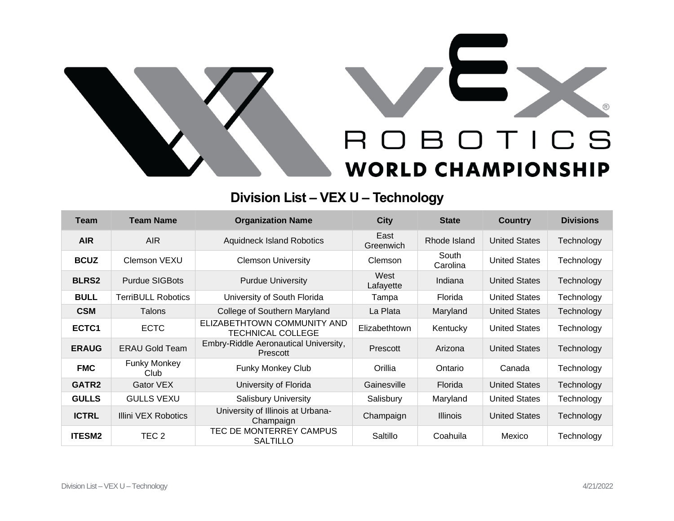

## **Division List – VEX U – Technology**

| <b>Team</b>       | <b>Team Name</b>            | <b>Organization Name</b>                                | <b>City</b>       | <b>State</b>      | <b>Country</b>       | <b>Divisions</b> |
|-------------------|-----------------------------|---------------------------------------------------------|-------------------|-------------------|----------------------|------------------|
| <b>AIR</b>        | AIR.                        | <b>Aquidneck Island Robotics</b>                        | East<br>Greenwich | Rhode Island      | <b>United States</b> | Technology       |
| <b>BCUZ</b>       | Clemson VEXU                | <b>Clemson University</b>                               | Clemson           | South<br>Carolina | <b>United States</b> | Technology       |
| <b>BLRS2</b>      | <b>Purdue SIGBots</b>       | <b>Purdue University</b>                                | West<br>Lafayette | Indiana           | <b>United States</b> | Technology       |
| <b>BULL</b>       | <b>TerriBULL Robotics</b>   | University of South Florida                             | Tampa             | Florida           | <b>United States</b> | Technology       |
| <b>CSM</b>        | Talons                      | College of Southern Maryland                            | La Plata          | Maryland          | <b>United States</b> | Technology       |
| ECTC1             | <b>ECTC</b>                 | ELIZABETHTOWN COMMUNITY AND<br><b>TECHNICAL COLLEGE</b> | Elizabethtown     | Kentucky          | <b>United States</b> | Technology       |
| <b>ERAUG</b>      | <b>ERAU Gold Team</b>       | Embry-Riddle Aeronautical University,<br>Prescott       | Prescott          | Arizona           | <b>United States</b> | Technology       |
| <b>FMC</b>        | <b>Funky Monkey</b><br>Club | <b>Funky Monkey Club</b>                                | Orillia           | Ontario           | Canada               | Technology       |
| GATR <sub>2</sub> | Gator VEX                   | University of Florida                                   | Gainesville       | Florida           | <b>United States</b> | Technology       |
| <b>GULLS</b>      | <b>GULLS VEXU</b>           | <b>Salisbury University</b>                             | Salisbury         | Maryland          | <b>United States</b> | Technology       |
| <b>ICTRL</b>      | Illini VEX Robotics         | University of Illinois at Urbana-<br>Champaign          | Champaign         | <b>Illinois</b>   | <b>United States</b> | Technology       |
| <b>ITESM2</b>     | TEC <sub>2</sub>            | TEC DE MONTERREY CAMPUS<br><b>SALTILLO</b>              | Saltillo          | Coahuila          | Mexico               | Technology       |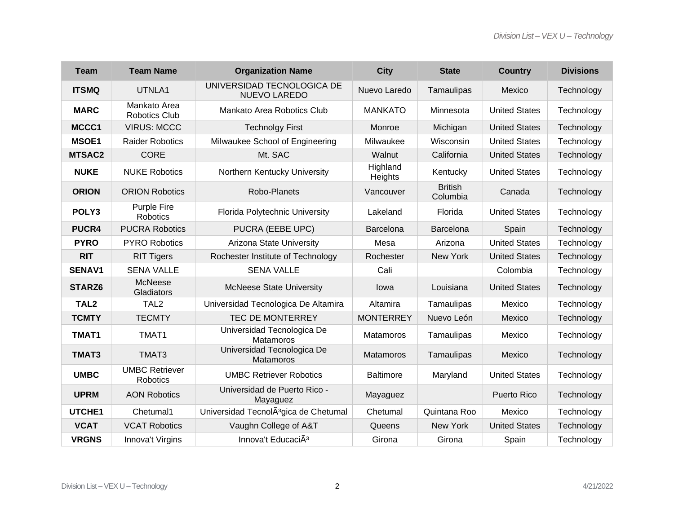| <b>Team</b>      | <b>Team Name</b>                      | <b>Organization Name</b>                           | <b>City</b>         | <b>State</b>               | <b>Country</b>       | <b>Divisions</b> |
|------------------|---------------------------------------|----------------------------------------------------|---------------------|----------------------------|----------------------|------------------|
| <b>ITSMQ</b>     | UTNLA1                                | UNIVERSIDAD TECNOLOGICA DE<br><b>NUEVO LAREDO</b>  | Nuevo Laredo        | Tamaulipas                 | Mexico               | Technology       |
| <b>MARC</b>      | Mankato Area<br><b>Robotics Club</b>  | Mankato Area Robotics Club                         | <b>MANKATO</b>      | Minnesota                  | <b>United States</b> | Technology       |
| MCCC1            | <b>VIRUS: MCCC</b>                    | <b>Technolgy First</b>                             | Monroe              | Michigan                   | <b>United States</b> | Technology       |
| <b>MSOE1</b>     | <b>Raider Robotics</b>                | Milwaukee School of Engineering                    | Milwaukee           | Wisconsin                  | <b>United States</b> | Technology       |
| MTSAC2           | <b>CORE</b>                           | Mt. SAC                                            | Walnut              | California                 | <b>United States</b> | Technology       |
| <b>NUKE</b>      | <b>NUKE Robotics</b>                  | Northern Kentucky University                       | Highland<br>Heights | Kentucky                   | <b>United States</b> | Technology       |
| <b>ORION</b>     | <b>ORION Robotics</b>                 | Robo-Planets                                       | Vancouver           | <b>British</b><br>Columbia | Canada               | Technology       |
| POLY3            | <b>Purple Fire</b><br><b>Robotics</b> | Florida Polytechnic University                     | Lakeland            | Florida                    | <b>United States</b> | Technology       |
| PUCR4            | <b>PUCRA Robotics</b>                 | PUCRA (EEBE UPC)                                   | Barcelona           | Barcelona                  | Spain                | Technology       |
| <b>PYRO</b>      | <b>PYRO Robotics</b>                  | Arizona State University                           | Mesa                | Arizona                    | <b>United States</b> | Technology       |
| <b>RIT</b>       | <b>RIT Tigers</b>                     | Rochester Institute of Technology                  | Rochester           | New York                   | <b>United States</b> | Technology       |
| <b>SENAV1</b>    | <b>SENA VALLE</b>                     | <b>SENA VALLE</b>                                  | Cali                |                            | Colombia             | Technology       |
| STARZ6           | McNeese<br>Gladiators                 | <b>McNeese State University</b>                    | lowa                | Louisiana                  | <b>United States</b> | Technology       |
| TAL <sub>2</sub> | TAL <sub>2</sub>                      | Universidad Tecnologica De Altamira                | Altamira            | Tamaulipas                 | Mexico               | Technology       |
| <b>TCMTY</b>     | <b>TECMTY</b>                         | <b>TEC DE MONTERREY</b>                            | <b>MONTERREY</b>    | Nuevo León                 | Mexico               | Technology       |
| TMAT1            | TMAT1                                 | Universidad Tecnologica De<br>Matamoros            | Matamoros           | Tamaulipas                 | Mexico               | Technology       |
| TMAT3            | TMAT3                                 | Universidad Tecnologica De<br>Matamoros            | <b>Matamoros</b>    | Tamaulipas                 | Mexico               | Technology       |
| <b>UMBC</b>      | <b>UMBC Retriever</b><br>Robotics     | <b>UMBC Retriever Robotics</b>                     | <b>Baltimore</b>    | Maryland                   | <b>United States</b> | Technology       |
| <b>UPRM</b>      | <b>AON Robotics</b>                   | Universidad de Puerto Rico -<br>Mayaguez           | Mayaguez            |                            | Puerto Rico          | Technology       |
| UTCHE1           | Chetumal1                             | Universidad Tecnol A <sup>3</sup> gica de Chetumal | Chetumal            | Quintana Roo               | Mexico               | Technology       |
| <b>VCAT</b>      | <b>VCAT Robotics</b>                  | Vaughn College of A&T                              | Queens              | New York                   | <b>United States</b> | Technology       |
| <b>VRGNS</b>     | Innova't Virgins                      | Innova't EducaciÃ <sup>3</sup>                     | Girona              | Girona                     | Spain                | Technology       |